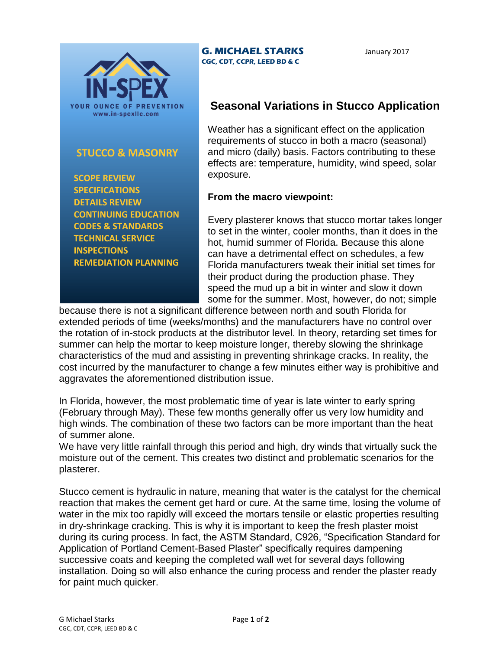

## **STUCCO & MASONRY**

 **SCOPE REVIEW SPECIFICATIONS DETAILS REVIEW CONTINUING EDUCATION CODES & STANDARDS TECHNICAL SERVICE INSPECTIONS REMEDIATION PLANNING**

## **G. MICHAEL STARKS CGC, CDT, CCPR, LEED BD & C**

January 2017

## **Seasonal Variations in Stucco Application**

Weather has a significant effect on the application requirements of stucco in both a macro (seasonal) and micro (daily) basis. Factors contributing to these effects are: temperature, humidity, wind speed, solar exposure.

## **From the macro viewpoint:**

Every plasterer knows that stucco mortar takes longer to set in the winter, cooler months, than it does in the hot, humid summer of Florida. Because this alone can have a detrimental effect on schedules, a few Florida manufacturers tweak their initial set times for their product during the production phase. They speed the mud up a bit in winter and slow it down some for the summer. Most, however, do not; simple

because there is not a significant difference between north and south Florida for extended periods of time (weeks/months) and the manufacturers have no control over the rotation of in-stock products at the distributor level. In theory, retarding set times for summer can help the mortar to keep moisture longer, thereby slowing the shrinkage characteristics of the mud and assisting in preventing shrinkage cracks. In reality, the cost incurred by the manufacturer to change a few minutes either way is prohibitive and aggravates the aforementioned distribution issue.

In Florida, however, the most problematic time of year is late winter to early spring (February through May). These few months generally offer us very low humidity and high winds. The combination of these two factors can be more important than the heat of summer alone.

We have very little rainfall through this period and high, dry winds that virtually suck the moisture out of the cement. This creates two distinct and problematic scenarios for the plasterer.

Stucco cement is hydraulic in nature, meaning that water is the catalyst for the chemical reaction that makes the cement get hard or cure. At the same time, losing the volume of water in the mix too rapidly will exceed the mortars tensile or elastic properties resulting in dry-shrinkage cracking. This is why it is important to keep the fresh plaster moist during its curing process. In fact, the ASTM Standard, C926, "Specification Standard for Application of Portland Cement-Based Plaster" specifically requires dampening successive coats and keeping the completed wall wet for several days following installation. Doing so will also enhance the curing process and render the plaster ready for paint much quicker.